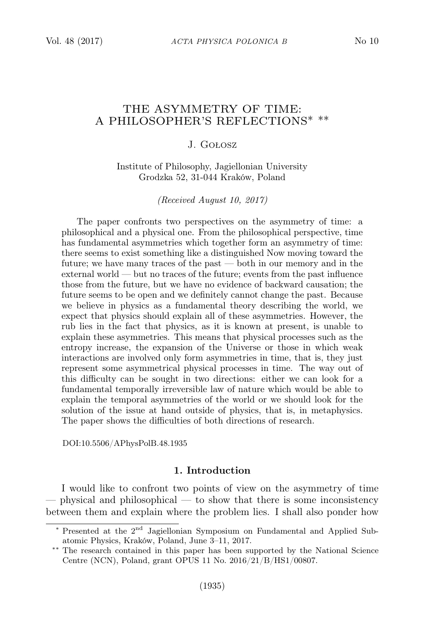# THE ASYMMETRY OF TIME: A PHILOSOPHER'S REFLECTIONS∗ ∗∗

#### J. Gołosz

Institute of Philosophy, Jagiellonian University Grodzka 52, 31-044 Kraków, Poland

(Received August 10, 2017)

The paper confronts two perspectives on the asymmetry of time: a philosophical and a physical one. From the philosophical perspective, time has fundamental asymmetries which together form an asymmetry of time: there seems to exist something like a distinguished Now moving toward the future; we have many traces of the past — both in our memory and in the external world — but no traces of the future; events from the past influence those from the future, but we have no evidence of backward causation; the future seems to be open and we definitely cannot change the past. Because we believe in physics as a fundamental theory describing the world, we expect that physics should explain all of these asymmetries. However, the rub lies in the fact that physics, as it is known at present, is unable to explain these asymmetries. This means that physical processes such as the entropy increase, the expansion of the Universe or those in which weak interactions are involved only form asymmetries in time, that is, they just represent some asymmetrical physical processes in time. The way out of this difficulty can be sought in two directions: either we can look for a fundamental temporally irreversible law of nature which would be able to explain the temporal asymmetries of the world or we should look for the solution of the issue at hand outside of physics, that is, in metaphysics. The paper shows the difficulties of both directions of research.

DOI:10.5506/APhysPolB.48.1935

# 1. Introduction

I would like to confront two points of view on the asymmetry of time — physical and philosophical — to show that there is some inconsistency between them and explain where the problem lies. I shall also ponder how

<sup>\*</sup> Presented at the 2<sup>nd</sup> Jagiellonian Symposium on Fundamental and Applied Subatomic Physics, Kraków, Poland, June 3–11, 2017.

<sup>∗∗</sup> The research contained in this paper has been supported by the National Science Centre (NCN), Poland, grant OPUS 11 No. 2016/21/B/HS1/00807.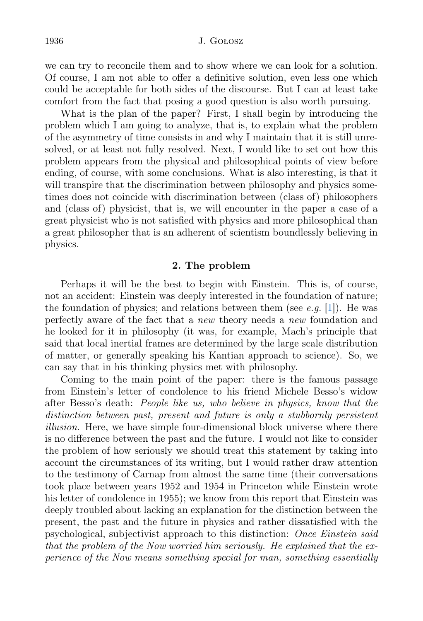we can try to reconcile them and to show where we can look for a solution. Of course, I am not able to offer a definitive solution, even less one which could be acceptable for both sides of the discourse. But I can at least take comfort from the fact that posing a good question is also worth pursuing.

What is the plan of the paper? First, I shall begin by introducing the problem which I am going to analyze, that is, to explain what the problem of the asymmetry of time consists in and why I maintain that it is still unresolved, or at least not fully resolved. Next, I would like to set out how this problem appears from the physical and philosophical points of view before ending, of course, with some conclusions. What is also interesting, is that it will transpire that the discrimination between philosophy and physics sometimes does not coincide with discrimination between (class of) philosophers and (class of) physicist, that is, we will encounter in the paper a case of a great physicist who is not satisfied with physics and more philosophical than a great philosopher that is an adherent of scientism boundlessly believing in physics.

## 2. The problem

Perhaps it will be the best to begin with Einstein. This is, of course, not an accident: Einstein was deeply interested in the foundation of nature; the foundation of physics; and relations between them (see e.g. [\[1\]](#page-10-0)). He was perfectly aware of the fact that a new theory needs a new foundation and he looked for it in philosophy (it was, for example, Mach's principle that said that local inertial frames are determined by the large scale distribution of matter, or generally speaking his Kantian approach to science). So, we can say that in his thinking physics met with philosophy.

Coming to the main point of the paper: there is the famous passage from Einstein's letter of condolence to his friend Michele Besso's widow after Besso's death: People like us, who believe in physics, know that the distinction between past, present and future is only a stubbornly persistent illusion. Here, we have simple four-dimensional block universe where there is no difference between the past and the future. I would not like to consider the problem of how seriously we should treat this statement by taking into account the circumstances of its writing, but I would rather draw attention to the testimony of Carnap from almost the same time (their conversations took place between years 1952 and 1954 in Princeton while Einstein wrote his letter of condolence in 1955); we know from this report that Einstein was deeply troubled about lacking an explanation for the distinction between the present, the past and the future in physics and rather dissatisfied with the psychological, subjectivist approach to this distinction: Once Einstein said that the problem of the Now worried him seriously. He explained that the experience of the Now means something special for man, something essentially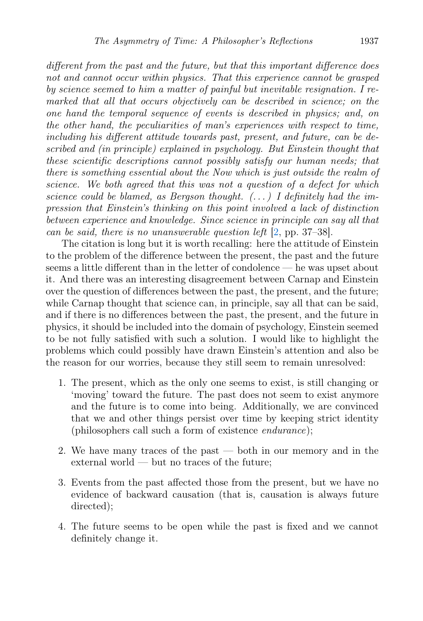different from the past and the future, but that this important difference does not and cannot occur within physics. That this experience cannot be grasped by science seemed to him a matter of painful but inevitable resignation. I remarked that all that occurs objectively can be described in science; on the one hand the temporal sequence of events is described in physics; and, on the other hand, the peculiarities of man's experiences with respect to time, including his different attitude towards past, present, and future, can be described and (in principle) explained in psychology. But Einstein thought that these scientific descriptions cannot possibly satisfy our human needs; that there is something essential about the Now which is just outside the realm of science. We both agreed that this was not a question of a defect for which science could be blamed, as Bergson thought.  $(\dots)$  I definitely had the impression that Einstein's thinking on this point involved a lack of distinction between experience and knowledge. Since science in principle can say all that can be said, there is no unanswerable question left  $[2, pp. 37-38]$  $[2, pp. 37-38]$ .

The citation is long but it is worth recalling: here the attitude of Einstein to the problem of the difference between the present, the past and the future seems a little different than in the letter of condolence — he was upset about it. And there was an interesting disagreement between Carnap and Einstein over the question of differences between the past, the present, and the future; while Carnap thought that science can, in principle, say all that can be said, and if there is no differences between the past, the present, and the future in physics, it should be included into the domain of psychology, Einstein seemed to be not fully satisfied with such a solution. I would like to highlight the problems which could possibly have drawn Einstein's attention and also be the reason for our worries, because they still seem to remain unresolved:

- 1. The present, which as the only one seems to exist, is still changing or 'moving' toward the future. The past does not seem to exist anymore and the future is to come into being. Additionally, we are convinced that we and other things persist over time by keeping strict identity (philosophers call such a form of existence endurance);
- 2. We have many traces of the past both in our memory and in the external world — but no traces of the future;
- 3. Events from the past affected those from the present, but we have no evidence of backward causation (that is, causation is always future directed);
- 4. The future seems to be open while the past is fixed and we cannot definitely change it.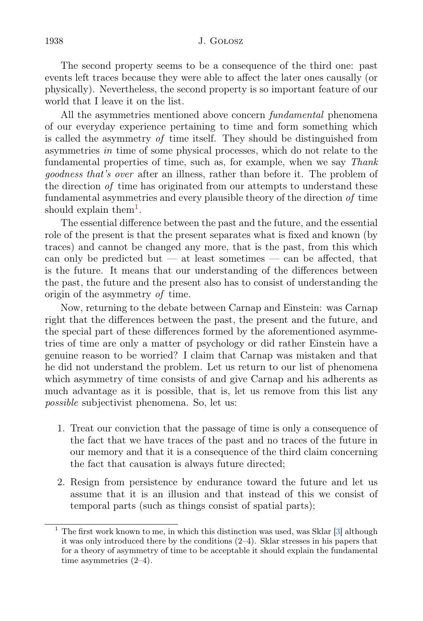The second property seems to be a consequence of the third one: past events left traces because they were able to affect the later ones causally (or physically). Nevertheless, the second property is so important feature of our world that I leave it on the list.

All the asymmetries mentioned above concern *fundamental* phenomena of our everyday experience pertaining to time and form something which is called the asymmetry of time itself. They should be distinguished from asymmetries in time of some physical processes, which do not relate to the fundamental properties of time, such as, for example, when we say *Thank* goodness that's over after an illness, rather than before it. The problem of the direction of time has originated from our attempts to understand these fundamental asymmetries and every plausible theory of the direction of time should explain them<sup>[1](#page-3-0)</sup>.

The essential difference between the past and the future, and the essential role of the present is that the present separates what is fixed and known (by traces) and cannot be changed any more, that is the past, from this which can only be predicted but  $-$  at least sometimes  $-$  can be affected, that is the future. It means that our understanding of the differences between the past, the future and the present also has to consist of understanding the origin of the asymmetry of time.

Now, returning to the debate between Carnap and Einstein: was Carnap right that the differences between the past, the present and the future, and the special part of these differences formed by the aforementioned asymmetries of time are only a matter of psychology or did rather Einstein have a genuine reason to be worried? I claim that Carnap was mistaken and that he did not understand the problem. Let us return to our list of phenomena which asymmetry of time consists of and give Carnap and his adherents as much advantage as it is possible, that is, let us remove from this list any possible subjectivist phenomena. So, let us:

- 1. Treat our conviction that the passage of time is only a consequence of the fact that we have traces of the past and no traces of the future in our memory and that it is a consequence of the third claim concerning the fact that causation is always future directed;
- 2. Resign from persistence by endurance toward the future and let us assume that it is an illusion and that instead of this we consist of temporal parts (such as things consist of spatial parts);

<span id="page-3-0"></span><sup>&</sup>lt;sup>1</sup> The first work known to me, in which this distinction was used, was Sklar [\[3\]](#page-10-2) although it was only introduced there by the conditions (2–4). Sklar stresses in his papers that for a theory of asymmetry of time to be acceptable it should explain the fundamental time asymmetries (2–4).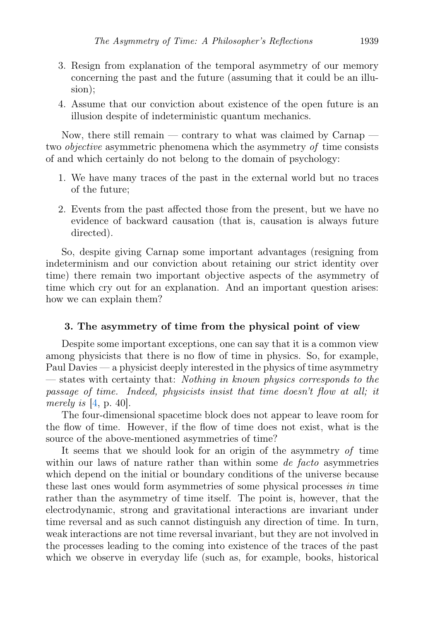- 3. Resign from explanation of the temporal asymmetry of our memory concerning the past and the future (assuming that it could be an illusion);
- 4. Assume that our conviction about existence of the open future is an illusion despite of indeterministic quantum mechanics.

Now, there still remain — contrary to what was claimed by  $Carnap$ two objective asymmetric phenomena which the asymmetry of time consists of and which certainly do not belong to the domain of psychology:

- 1. We have many traces of the past in the external world but no traces of the future;
- 2. Events from the past affected those from the present, but we have no evidence of backward causation (that is, causation is always future directed).

So, despite giving Carnap some important advantages (resigning from indeterminism and our conviction about retaining our strict identity over time) there remain two important objective aspects of the asymmetry of time which cry out for an explanation. And an important question arises: how we can explain them?

#### 3. The asymmetry of time from the physical point of view

Despite some important exceptions, one can say that it is a common view among physicists that there is no flow of time in physics. So, for example, Paul Davies — a physicist deeply interested in the physics of time asymmetry  $\overline{\phantom{a}}$  states with certainty that: *Nothing in known physics corresponds to the* passage of time. Indeed, physicists insist that time doesn't flow at all; it merely is  $[4, p. 40]$  $[4, p. 40]$ .

The four-dimensional spacetime block does not appear to leave room for the flow of time. However, if the flow of time does not exist, what is the source of the above-mentioned asymmetries of time?

It seems that we should look for an origin of the asymmetry of time within our laws of nature rather than within some *de facto* asymmetries which depend on the initial or boundary conditions of the universe because these last ones would form asymmetries of some physical processes in time rather than the asymmetry of time itself. The point is, however, that the electrodynamic, strong and gravitational interactions are invariant under time reversal and as such cannot distinguish any direction of time. In turn, weak interactions are not time reversal invariant, but they are not involved in the processes leading to the coming into existence of the traces of the past which we observe in everyday life (such as, for example, books, historical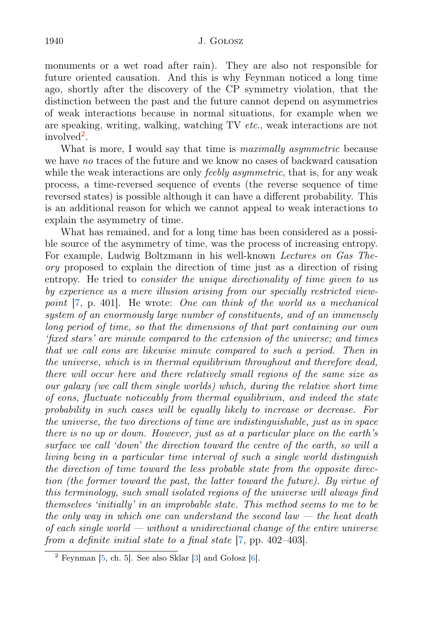monuments or a wet road after rain). They are also not responsible for future oriented causation. And this is why Feynman noticed a long time ago, shortly after the discovery of the CP symmetry violation, that the distinction between the past and the future cannot depend on asymmetries of weak interactions because in normal situations, for example when we are speaking, writing, walking, watching TV etc., weak interactions are not involved[2](#page-5-0) .

What is more, I would say that time is *maximally asymmetric* because we have no traces of the future and we know no cases of backward causation while the weak interactions are only *feebly asymmetric*, that is, for any weak process, a time-reversed sequence of events (the reverse sequence of time reversed states) is possible although it can have a different probability. This is an additional reason for which we cannot appeal to weak interactions to explain the asymmetry of time.

What has remained, and for a long time has been considered as a possible source of the asymmetry of time, was the process of increasing entropy. For example, Ludwig Boltzmann in his well-known Lectures on Gas Theory proposed to explain the direction of time just as a direction of rising entropy. He tried to *consider the unique directionality of time given to us* by experience as a mere illusion arising from our specially restricted viewpoint [\[7,](#page-10-4) p. 401]. He wrote: One can think of the world as a mechanical system of an enormously large number of constituents, and of an immensely long period of time, so that the dimensions of that part containing our own 'fixed stars' are minute compared to the extension of the universe; and times that we call eons are likewise minute compared to such a period. Then in the universe, which is in thermal equilibrium throughout and therefore dead, there will occur here and there relatively small regions of the same size as our galaxy (we call them single worlds) which, during the relative short time of eons, fluctuate noticeably from thermal equilibrium, and indeed the state probability in such cases will be equally likely to increase or decrease. For the universe, the two directions of time are indistinguishable, just as in space there is no up or down. However, just as at a particular place on the earth's surface we call 'down' the direction toward the centre of the earth, so will a living being in a particular time interval of such a single world distinguish the direction of time toward the less probable state from the opposite direction (the former toward the past, the latter toward the future). By virtue of this terminology, such small isolated regions of the universe will always find themselves 'initially' in an improbable state. This method seems to me to be the only way in which one can understand the second law  $-$  the heat death of each single world  $-$  without a unidirectional change of the entire universe from a definite initial state to a final state  $[7, pp. 402-403]$  $[7, pp. 402-403]$ .

<span id="page-5-0"></span> $2$  Feynman [\[5,](#page-10-5) ch. 5]. See also Sklar [\[3\]](#page-10-2) and Gołosz [\[6\]](#page-10-6).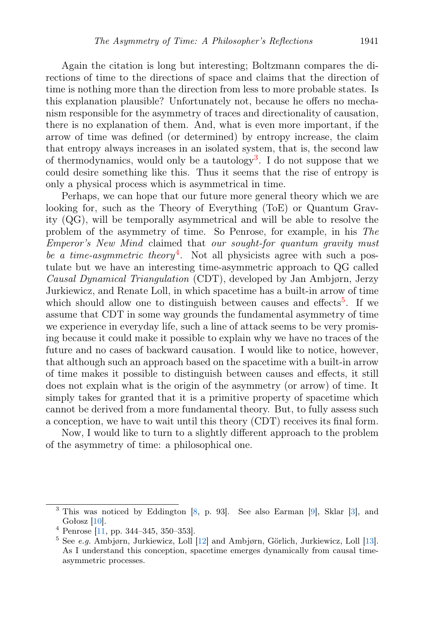Again the citation is long but interesting; Boltzmann compares the directions of time to the directions of space and claims that the direction of time is nothing more than the direction from less to more probable states. Is this explanation plausible? Unfortunately not, because he offers no mechanism responsible for the asymmetry of traces and directionality of causation, there is no explanation of them. And, what is even more important, if the arrow of time was defined (or determined) by entropy increase, the claim that entropy always increases in an isolated system, that is, the second law of thermodynamics, would only be a tautology<sup>[3](#page-6-0)</sup>. I do not suppose that we could desire something like this. Thus it seems that the rise of entropy is only a physical process which is asymmetrical in time.

Perhaps, we can hope that our future more general theory which we are looking for, such as the Theory of Everything (ToE) or Quantum Gravity (QG), will be temporally asymmetrical and will be able to resolve the problem of the asymmetry of time. So Penrose, for example, in his The Emperor's New Mind claimed that our sought-for quantum gravity must be a time-asymmetric theory<sup>[4](#page-6-1)</sup>. Not all physicists agree with such a postulate but we have an interesting time-asymmetric approach to QG called Causal Dynamical Triangulation (CDT), developed by Jan Ambjørn, Jerzy Jurkiewicz, and Renate Loll, in which spacetime has a built-in arrow of time which should allow one to distinguish between causes and effects<sup>[5](#page-6-2)</sup>. If we assume that CDT in some way grounds the fundamental asymmetry of time we experience in everyday life, such a line of attack seems to be very promising because it could make it possible to explain why we have no traces of the future and no cases of backward causation. I would like to notice, however, that although such an approach based on the spacetime with a built-in arrow of time makes it possible to distinguish between causes and effects, it still does not explain what is the origin of the asymmetry (or arrow) of time. It simply takes for granted that it is a primitive property of spacetime which cannot be derived from a more fundamental theory. But, to fully assess such a conception, we have to wait until this theory (CDT) receives its final form.

Now, I would like to turn to a slightly different approach to the problem of the asymmetry of time: a philosophical one.

<span id="page-6-0"></span><sup>3</sup> This was noticed by Eddington [\[8,](#page-10-7) p. 93]. See also Earman [\[9\]](#page-10-8), Sklar [\[3\]](#page-10-2), and Gołosz [\[10\]](#page-10-9).

<span id="page-6-1"></span> $4$  Penrose [\[11,](#page-10-10) pp. 344-345, 350-353].

<span id="page-6-2"></span> $5$  See e.g. Ambjørn, Jurkiewicz, Loll  $[12]$  and Ambjørn, Görlich, Jurkiewicz, Loll  $[13]$ . As I understand this conception, spacetime emerges dynamically from causal timeasymmetric processes.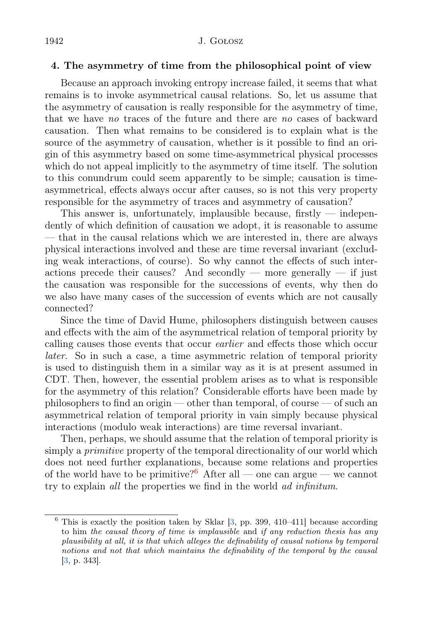## 4. The asymmetry of time from the philosophical point of view

Because an approach invoking entropy increase failed, it seems that what remains is to invoke asymmetrical causal relations. So, let us assume that the asymmetry of causation is really responsible for the asymmetry of time, that we have no traces of the future and there are no cases of backward causation. Then what remains to be considered is to explain what is the source of the asymmetry of causation, whether is it possible to find an origin of this asymmetry based on some time-asymmetrical physical processes which do not appeal implicitly to the asymmetry of time itself. The solution to this conundrum could seem apparently to be simple; causation is timeasymmetrical, effects always occur after causes, so is not this very property responsible for the asymmetry of traces and asymmetry of causation?

This answer is, unfortunately, implausible because, firstly  $-$  independently of which definition of causation we adopt, it is reasonable to assume — that in the causal relations which we are interested in, there are always physical interactions involved and these are time reversal invariant (excluding weak interactions, of course). So why cannot the effects of such interactions precede their causes? And secondly — more generally — if just the causation was responsible for the successions of events, why then do we also have many cases of the succession of events which are not causally connected?

Since the time of David Hume, philosophers distinguish between causes and effects with the aim of the asymmetrical relation of temporal priority by calling causes those events that occur *earlier* and effects those which occur later. So in such a case, a time asymmetric relation of temporal priority is used to distinguish them in a similar way as it is at present assumed in CDT. Then, however, the essential problem arises as to what is responsible for the asymmetry of this relation? Considerable efforts have been made by philosophers to find an origin — other than temporal, of course — of such an asymmetrical relation of temporal priority in vain simply because physical interactions (modulo weak interactions) are time reversal invariant.

Then, perhaps, we should assume that the relation of temporal priority is simply a *primitive* property of the temporal directionality of our world which does not need further explanations, because some relations and properties of the world have to be primitive?<sup>[6](#page-7-0)</sup> After all — one can argue — we cannot try to explain all the properties we find in the world ad infinitum.

<span id="page-7-0"></span> $6$  This is exactly the position taken by Sklar  $[3, pp. 399, 410-411]$  $[3, pp. 399, 410-411]$  because according to him the causal theory of time is implausible and if any reduction thesis has any plausibility at all, it is that which alleges the definability of causal notions by temporal notions and not that which maintains the definability of the temporal by the causal [\[3,](#page-10-2) p. 343].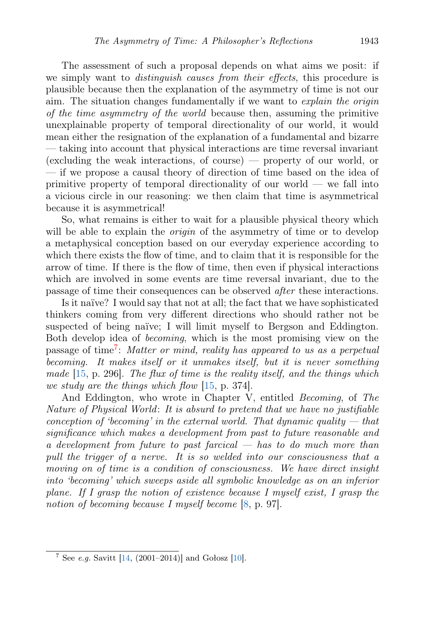The assessment of such a proposal depends on what aims we posit: if we simply want to *distinguish causes from their effects*, this procedure is plausible because then the explanation of the asymmetry of time is not our aim. The situation changes fundamentally if we want to explain the origin of the time asymmetry of the world because then, assuming the primitive unexplainable property of temporal directionality of our world, it would mean either the resignation of the explanation of a fundamental and bizarre — taking into account that physical interactions are time reversal invariant (excluding the weak interactions, of course) — property of our world, or — if we propose a causal theory of direction of time based on the idea of primitive property of temporal directionality of our world — we fall into a vicious circle in our reasoning: we then claim that time is asymmetrical because it is asymmetrical!

So, what remains is either to wait for a plausible physical theory which will be able to explain the *origin* of the asymmetry of time or to develop a metaphysical conception based on our everyday experience according to which there exists the flow of time, and to claim that it is responsible for the arrow of time. If there is the flow of time, then even if physical interactions which are involved in some events are time reversal invariant, due to the passage of time their consequences can be observed after these interactions.

Is it naïve? I would say that not at all; the fact that we have sophisticated thinkers coming from very different directions who should rather not be suspected of being naïve; I will limit myself to Bergson and Eddington. Both develop idea of becoming, which is the most promising view on the passage of time<sup>[7](#page-8-0)</sup>: Matter or mind, reality has appeared to us as a perpetual becoming. It makes itself or it unmakes itself, but it is never something made  $[15, p. 296]$  $[15, p. 296]$ . The flux of time is the reality itself, and the things which we study are the things which flow [\[15,](#page-11-1) p. 374].

And Eddington, who wrote in Chapter V, entitled Becoming, of The Nature of Physical World: It is absurd to pretend that we have no justifiable conception of 'becoming' in the external world. That dynamic quality  $-$  that significance which makes a development from past to future reasonable and a development from future to past farcical — has to do much more than pull the trigger of a nerve. It is so welded into our consciousness that a moving on of time is a condition of consciousness. We have direct insight into 'becoming' which sweeps aside all symbolic knowledge as on an inferior plane. If I grasp the notion of existence because I myself exist, I grasp the notion of becoming because I myself become [\[8,](#page-10-7) p. 97].

<span id="page-8-0"></span><sup>&</sup>lt;sup>7</sup> See *e.g.* Savitt [\[14,](#page-11-2)  $(2001-2014)$ ] and Gołosz [\[10\]](#page-10-9).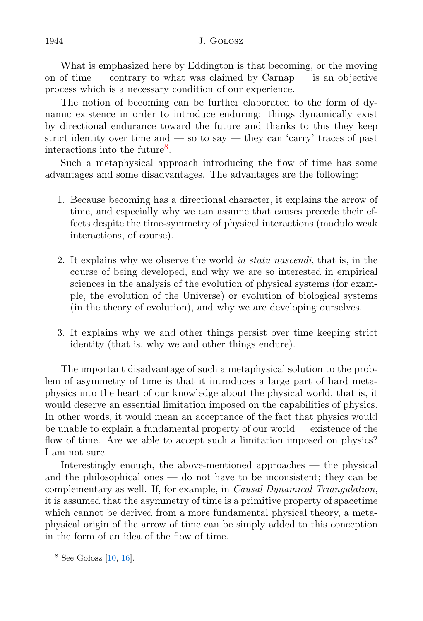What is emphasized here by Eddington is that becoming, or the moving on of time — contrary to what was claimed by  $Carnap$  — is an objective process which is a necessary condition of our experience.

The notion of becoming can be further elaborated to the form of dynamic existence in order to introduce enduring: things dynamically exist by directional endurance toward the future and thanks to this they keep strict identity over time and — so to say — they can 'carry' traces of past interactions into the future<sup>[8](#page-9-0)</sup>.

Such a metaphysical approach introducing the flow of time has some advantages and some disadvantages. The advantages are the following:

- 1. Because becoming has a directional character, it explains the arrow of time, and especially why we can assume that causes precede their effects despite the time-symmetry of physical interactions (modulo weak interactions, of course).
- 2. It explains why we observe the world in statu nascendi, that is, in the course of being developed, and why we are so interested in empirical sciences in the analysis of the evolution of physical systems (for example, the evolution of the Universe) or evolution of biological systems (in the theory of evolution), and why we are developing ourselves.
- 3. It explains why we and other things persist over time keeping strict identity (that is, why we and other things endure).

The important disadvantage of such a metaphysical solution to the problem of asymmetry of time is that it introduces a large part of hard metaphysics into the heart of our knowledge about the physical world, that is, it would deserve an essential limitation imposed on the capabilities of physics. In other words, it would mean an acceptance of the fact that physics would be unable to explain a fundamental property of our world — existence of the flow of time. Are we able to accept such a limitation imposed on physics? I am not sure.

Interestingly enough, the above-mentioned approaches — the physical and the philosophical ones — do not have to be inconsistent; they can be complementary as well. If, for example, in Causal Dynamical Triangulation, it is assumed that the asymmetry of time is a primitive property of spacetime which cannot be derived from a more fundamental physical theory, a metaphysical origin of the arrow of time can be simply added to this conception in the form of an idea of the flow of time.

<span id="page-9-0"></span> $8$  See Gołosz  $[10, 16]$  $[10, 16]$  $[10, 16]$ .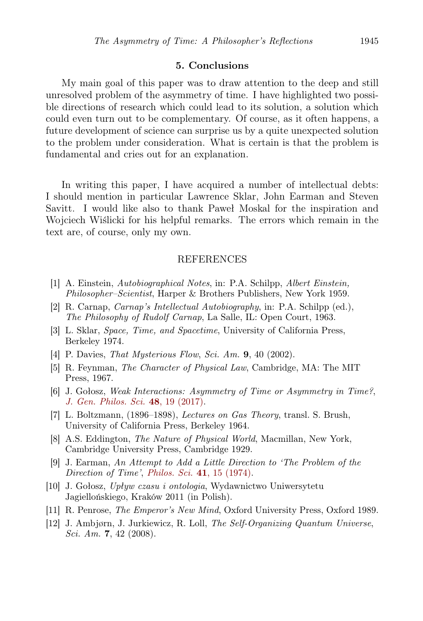#### 5. Conclusions

My main goal of this paper was to draw attention to the deep and still unresolved problem of the asymmetry of time. I have highlighted two possible directions of research which could lead to its solution, a solution which could even turn out to be complementary. Of course, as it often happens, a future development of science can surprise us by a quite unexpected solution to the problem under consideration. What is certain is that the problem is fundamental and cries out for an explanation.

In writing this paper, I have acquired a number of intellectual debts: I should mention in particular Lawrence Sklar, John Earman and Steven Savitt. I would like also to thank Paweł Moskal for the inspiration and Wojciech Wiślicki for his helpful remarks. The errors which remain in the text are, of course, only my own.

## REFERENCES

- <span id="page-10-0"></span>[1] A. Einstein, Autobiographical Notes, in: P.A. Schilpp, Albert Einstein, Philosopher–Scientist, Harper & Brothers Publishers, New York 1959.
- <span id="page-10-1"></span>[2] R. Carnap, Carnap's Intellectual Autobiography, in: P.A. Schilpp (ed.), The Philosophy of Rudolf Carnap, La Salle, IL: Open Court, 1963.
- <span id="page-10-2"></span>[3] L. Sklar, Space, Time, and Spacetime, University of California Press, Berkeley 1974.
- <span id="page-10-3"></span>[4] P. Davies, *That Mysterious Flow, Sci. Am.* **9**, 40 (2002).
- <span id="page-10-5"></span>[5] R. Feynman, The Character of Physical Law, Cambridge, MA: The MIT Press, 1967.
- <span id="page-10-6"></span>[6] J. Gołosz, Weak Interactions: Asymmetry of Time or Asymmetry in Time?[,](http://dx.doi.org/10.1007/s10838-016-9342-z) [J. Gen. Philos. Sci.](http://dx.doi.org/10.1007/s10838-016-9342-z) 48, 19 (2017).
- <span id="page-10-4"></span>[7] L. Boltzmann, (1896–1898), Lectures on Gas Theory, transl. S. Brush, University of California Press, Berkeley 1964.
- <span id="page-10-7"></span>[8] A.S. Eddington, The Nature of Physical World, Macmillan, New York, Cambridge University Press, Cambridge 1929.
- <span id="page-10-8"></span>[9] J. Earman, An Attempt to Add a Little Direction to 'The Problem of the Direction of Time', [Philos. Sci.](http://dx.doi.org/10.1086/288568) 41, 15 (1974).
- <span id="page-10-9"></span>[10] J. Gołosz, Upływ czasu i ontologia, Wydawnictwo Uniwersytetu Jagiellońskiego, Kraków 2011 (in Polish).
- <span id="page-10-10"></span>[11] R. Penrose, The Emperor's New Mind, Oxford University Press, Oxford 1989.
- <span id="page-10-11"></span>[12] J. Ambjørn, J. Jurkiewicz, R. Loll, The Self-Organizing Quantum Universe, Sci. Am. **7**, 42 (2008).